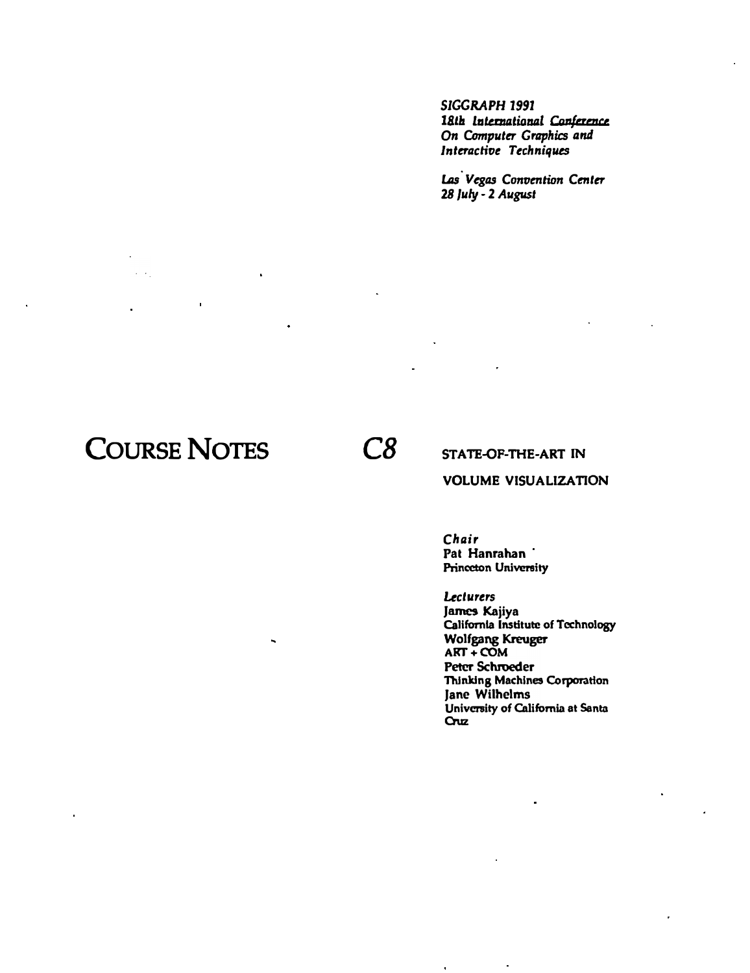*SIGGRAPH 1991*  **0n Computer Graphics and** *lnleracliot Techniques* 

Las *Vegas Convention Center 28 July •* 2 *August* 

# **COURSE NOTES** *CB*

 $\omega = \omega$  .

STATE-OP-THE·ART IN

#### VOLUME VISUALIZATION

*Chair*  Pat Hanrahan Princeton University

Lecturers James Kajiya California Institute of Technology Wolfgang Kreuger **ART+COM**  Peter Schroeder Thinking Machines Corporation Jane Wilhelms University of California at Santa Cruz

l.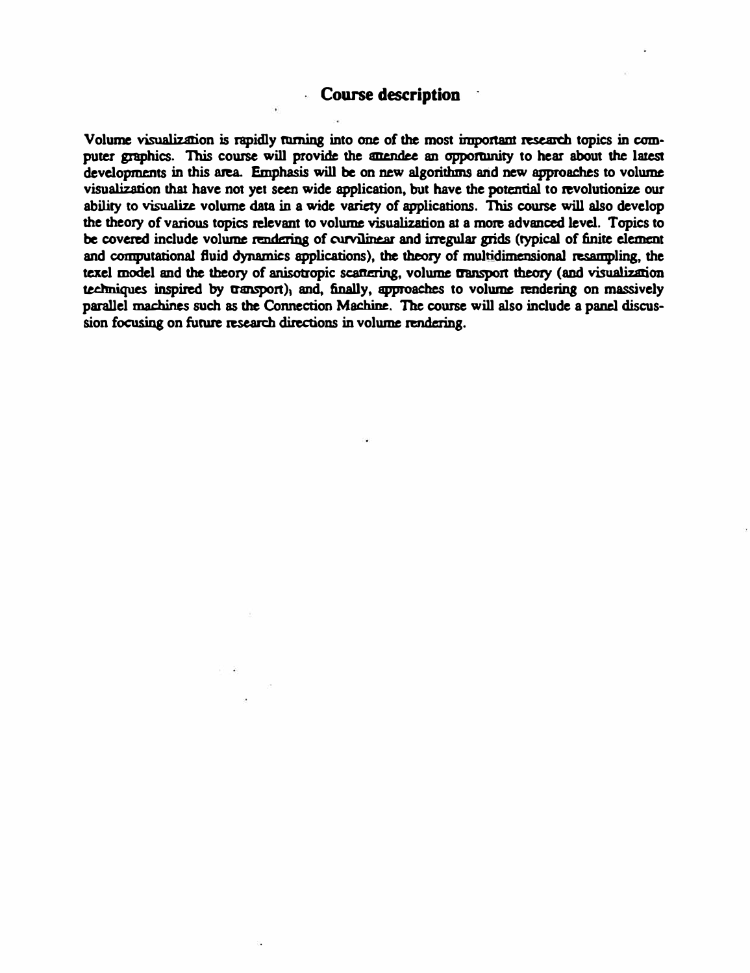#### **Course description**

Volume visualization is rapidly turning into one of the most important research topics in computer graphics. This course will provide the attendee an opportunity to hear about the latest **developments in this mea. Emphasis will be on new algorithms and new approaches to volume visualization that have not yet seen wide application, but have the potential to revolutionize our ability 10 visualize volume data in a wide variety of applications. This cowse will also develop**  the theory of various topics relevant to volume visualization at a more advanced level. Topics to **be covered include volume rendering of curvilinear and irregular grids (typical of finite element and computational fluid dynamics applications), the theory of multidimensional resampling, the**  techniques inspired by transport), and, finally, approaches to volume rendering on massively texel model and the theory of anisotropic scattering, volume transport theory (and visualization **parallel machines such as the Connection Machine. The cowse will also include a panel discus**sion focusing on future research directions in volume rendering.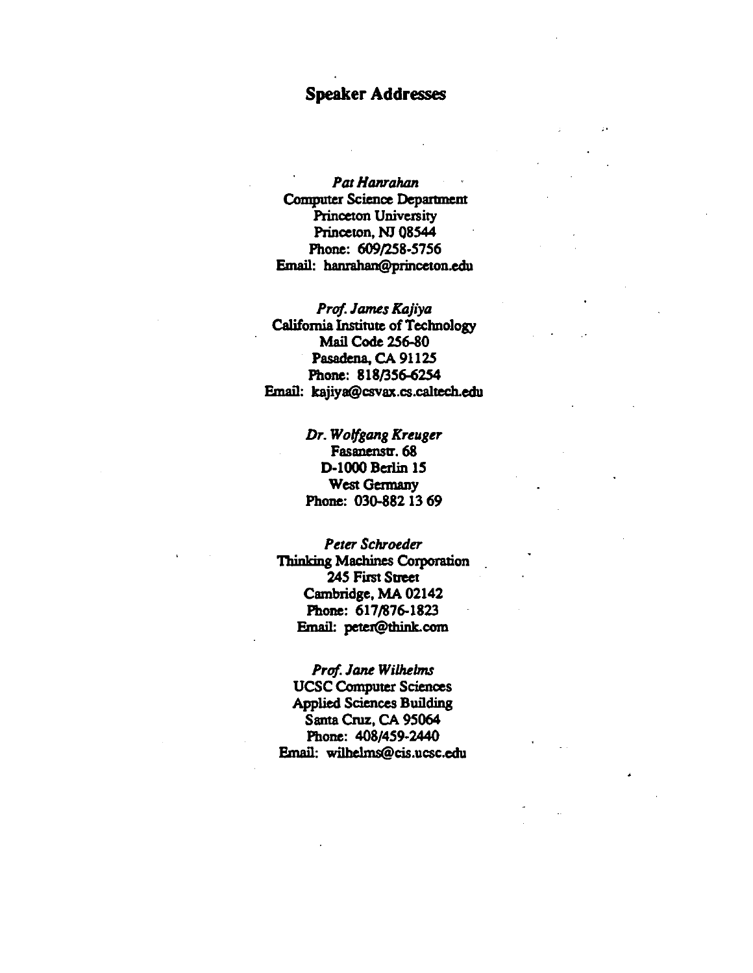#### Speaker Addresses

-·

Pat Hanrahan Computer Science Depanment Princeton University Princeton, NJ 08544 Phone: 609/258-5756 Email: banrahan@princeton.edu

*Prof. James Kajiya*  California Institute of Technology Mail Code 256-80 Pasadena, CA 91125 Phone: 818/356-6254 Email: kajiya@csvax.cs.caltech.edu

> *Dr. Wolfgang Kreuger*  Fasanenstr. 68 D-1000 Berlin 15 West Germany Phone: 030-882 13 69

*Peter Schroeder*  Thinking Machines Corporation 245 First Street Cambridge, MA 02142 Phone: 617/876-1823 Email: peter@think.com

*Prof. Jane Wilhelms*  UCSC Computet Sciences Applied Sciences Building Santa Cruz, CA 95064 Phone: 408/459-2440 Email: wilbelms@cis.ucsc.edu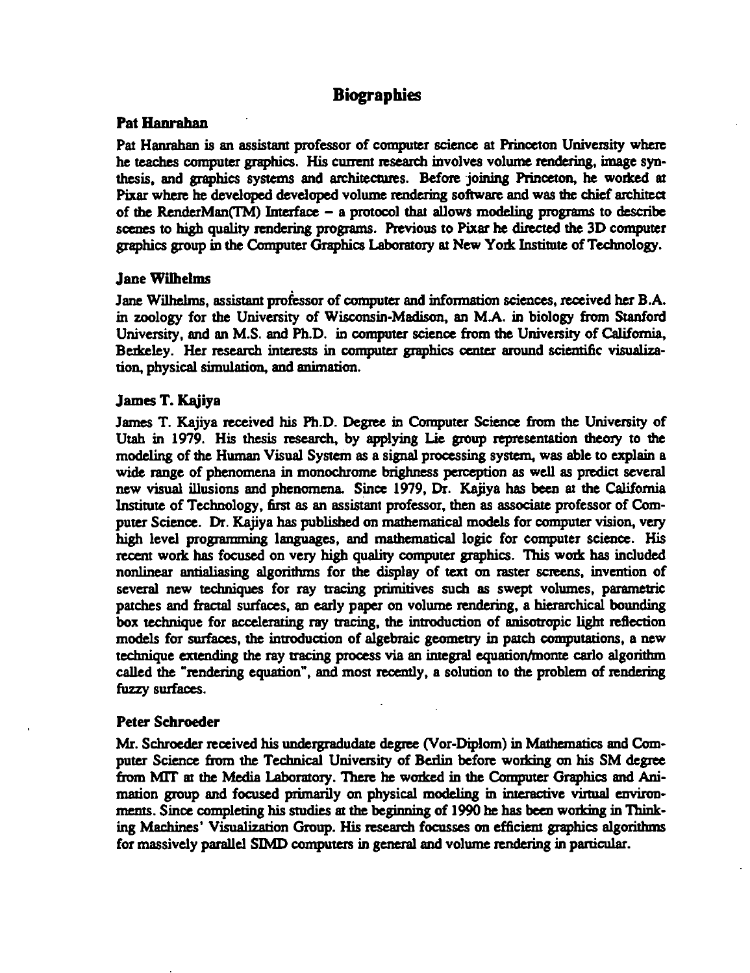### **Biographies**

#### Pat Hanrahan

Pat Hanrahan is an assistant professor of computer science at Princeton University where he teaches computer graphics. His current research involves volume rendering, image synthesis, and graphics systems and architectures. Before joining Princeton, he worked at Pixar where be developed developed volume rendering software and was the chief architect of the RenderMan(TM) Interface  $-$  a protocol that allows modeling programs to describe scenes to high quality rendering programs. Previous to Pixar he directed the 3D computer graphics group in the Computer Graphics Laboratory at New York Institute of Technology.

#### Jane Wilhelms

Jane Wilhelms, assistam professor of computer and information sciences, received her B.A. in zoology for the University of Wisconsin-Madison, an M.A. in biology from Stanford University, and an M.S. and Ph.D. in computer science from the University of California, Berkeley. Her research interests in computer graphics center around scientific visualization, physical simulation, and animation.

#### James T. Kajiya

James T. Kajiya received his Ph.D. Degree in Computer Science from the University of Utah in 1979. His thesis research, by applying Lie group representation theory to the modeling of the Human Visual System as a signal processing system, was able to explain a wide range of phenomena in monochrome brighness perception as well as predict several new visual illusions and phenomena Since 1979, Dr. Kajiya has been at the California Institute of Technology, first as an assistant professor, then as associate professor of Computer Science. Dr. Kajiya has published on mathematical models for computer vision, very high level programming languages, and mathematical logic for computer science. His recent work has focused on very high quality computer graphics. This work has included nonlinear antialiasing algorithms for the display of text on raster screens, invention of several new techniques for ray tracing primitives such as swept volumes, parametric patches and fractal surfaces, an early paper on volume rendering, a hierarchical bounding box technique for accelerating ray tracing, the introduction of anisotropic light reflection models for surfaces, the introduction of algebraic geometry in patch computations, a new technique extending the ray tracing process via an integral equation/monte carlo algorithm called the "rendering equation", and most recently, a solution to the problem of rendering fuzzy surfaces.

#### Peter Schroeder

Mr. Schroeder received his undergradudate degree (Vor-Diplom) in Mathematics and Computer Science from the Technical University of Berlin before working on his SM degree from MIT at the Media Laboratory. There he worked in the Computer Graphics and Animation group and focused primarily on physical modeling in interactive virtual environments. Since completing his Studies at the beginning of 1990 be has been working in Thinking Machines' Visualization Group. His research focusses on efficiem graphics algorithms for massively parallel SIMD computers in general and volume rendering in particular.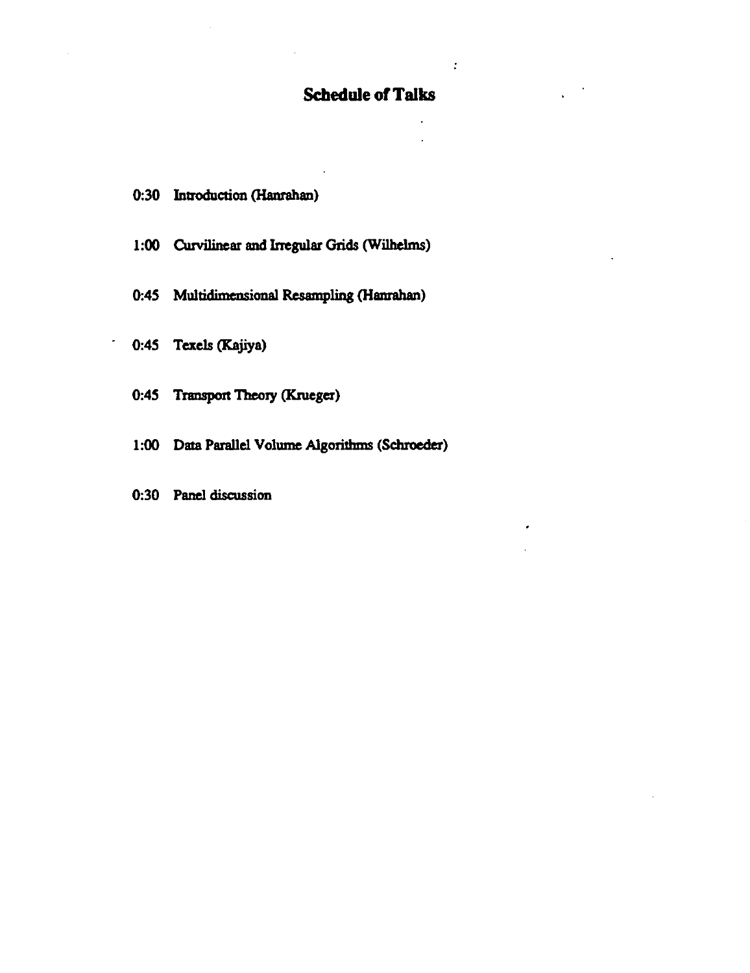## **Scbedule of Talks**

 $\ddot{\cdot}$ 

- 0:30 Introduction (Hanrahan)
- 1:00 Curvilinear and Irregular Grids (Wilhelms)
- 0:45 Multidimensional Resampling (Hanrahan)
- 0:45 Texels (Kajiya)

 $\overline{\phantom{a}}$ 

- 0:45 Transport Theory (Krueger)
- 1:00 Data Parallel Volume Algorithms (Schroeder)
- 0:30 Panel discussion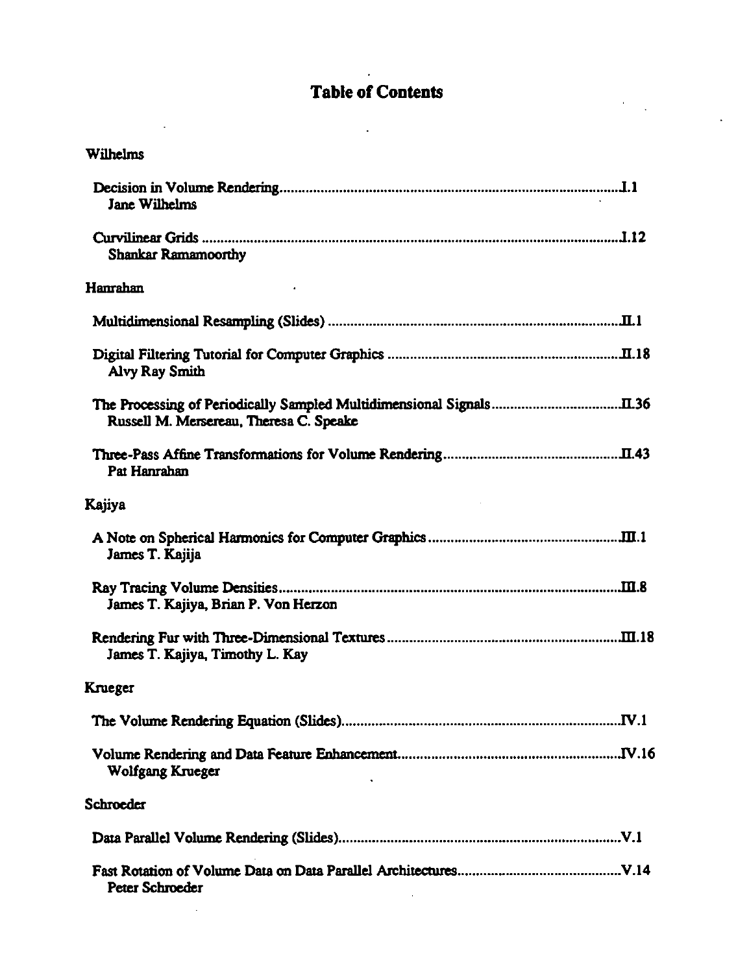# **Table of Contents**

 $\sim 10^7$ 

 $\overline{\phantom{a}}$ 

 $\sim$ 

 $\hat{\mathbf{r}}$ l.

 $\ddot{\phantom{a}}$ 

| Wilhelms                                |
|-----------------------------------------|
| <b>Jane Wilhelms</b>                    |
| <b>Shankar Ramamoorthy</b>              |
| Hanrahan                                |
|                                         |
| <b>Alvy Ray Smith</b>                   |
| Russell M. Mersereau, Theresa C. Speake |
| Pat Hanrahan                            |
| Kajiya                                  |
| James T. Kajija                         |
| James T. Kajiya, Brian P. Von Herzon    |
| James T. Kajiya, Timothy L. Kay         |
| Krueger                                 |
|                                         |
| Wolfgang Krueger                        |
| Schroeder                               |
|                                         |
| Peter Schroeder                         |

 $\mathcal{A}^{\mathcal{A}}$